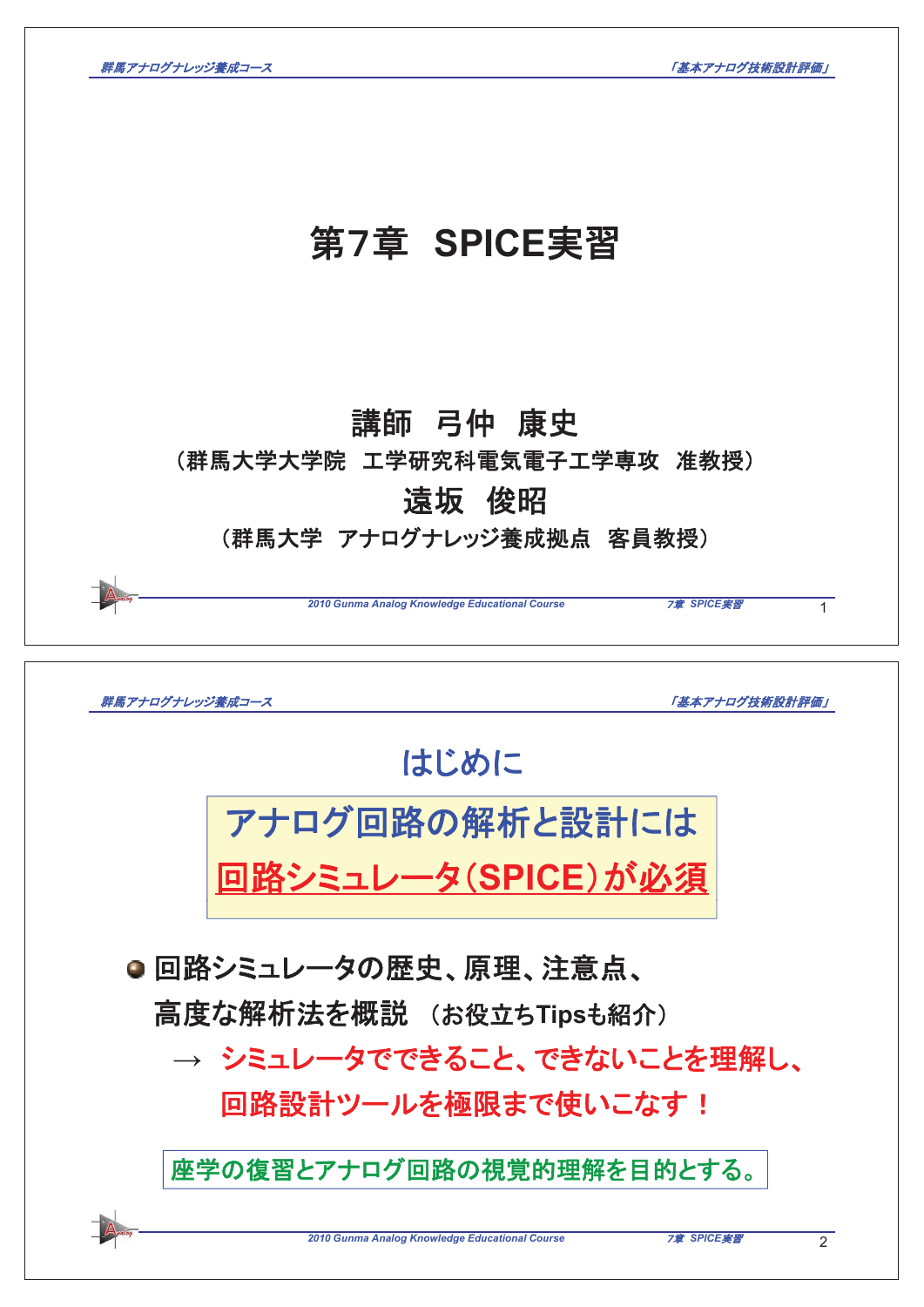

| 群馬アナログナレッジ養成コース            |                                                | 「基本アナログ技術設計評価」              |
|----------------------------|------------------------------------------------|-----------------------------|
|                            | はじめに                                           |                             |
|                            | アナログ回路の解析と設計には                                 |                             |
|                            | 回路シミュレータ(SPICE)が必須                             |                             |
| ● 回路シミュレータの歴史、原理、注意点、      |                                                |                             |
| 高度な解析法を概説 (お役立ちTipsも紹介)    |                                                |                             |
| → シミュレータでできること、できないことを理解し、 |                                                |                             |
| 回路設計ツールを極限まで使いこなす!         |                                                |                             |
|                            | 座学の復習とアナログ回路の視覚的理解を目的とする。                      |                             |
|                            | 2010 Gunma Analog Knowledge Educational Course | 7章 SPICE実習<br>$\mathcal{P}$ |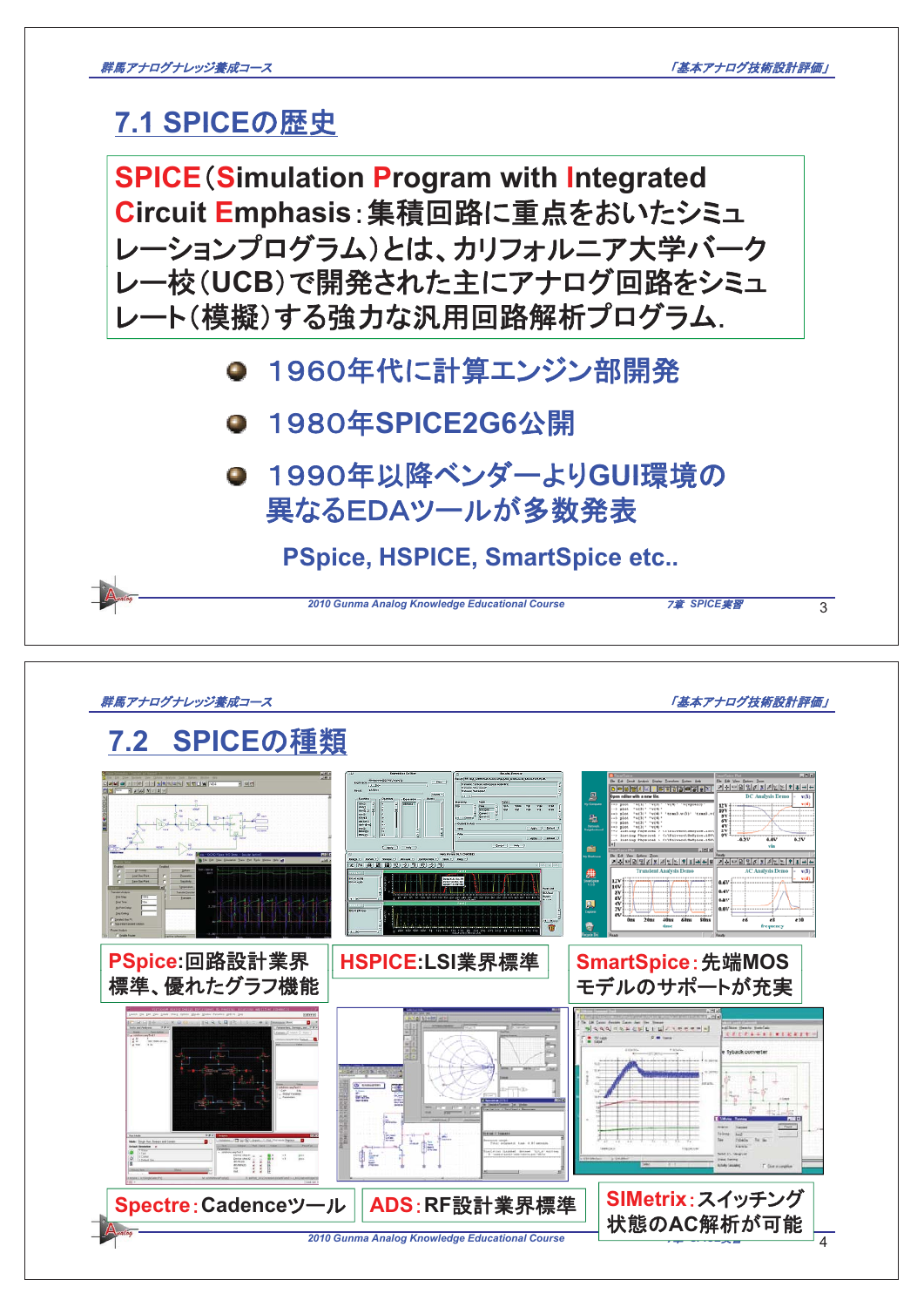## **7.1 SPICEの歴史**

**SPICE** (Simulation Program with Integrated Circuit Emphasis: 集積回路に重点をおいたシミュ レーションプログラム)とは、カリフォルニア大学バーク レー校(UCB)で開発された主にアナログ回路をシミュ レート(模擬)する強力な汎用回路解析プログラム. ● 1960年代に計算エンジン部開発 䠍䠕䠔䠌ᖺ**SPICE2G6**බ㛤 **● 1990年以降ベンダーよりGUI環境の** 異なるEDAツールが多数発表  $2010$  Gunma Analog Knowledge Educational Course **7章 SPICE***実習* 3 **PSpice, HSPICE, SmartSpice etc..**

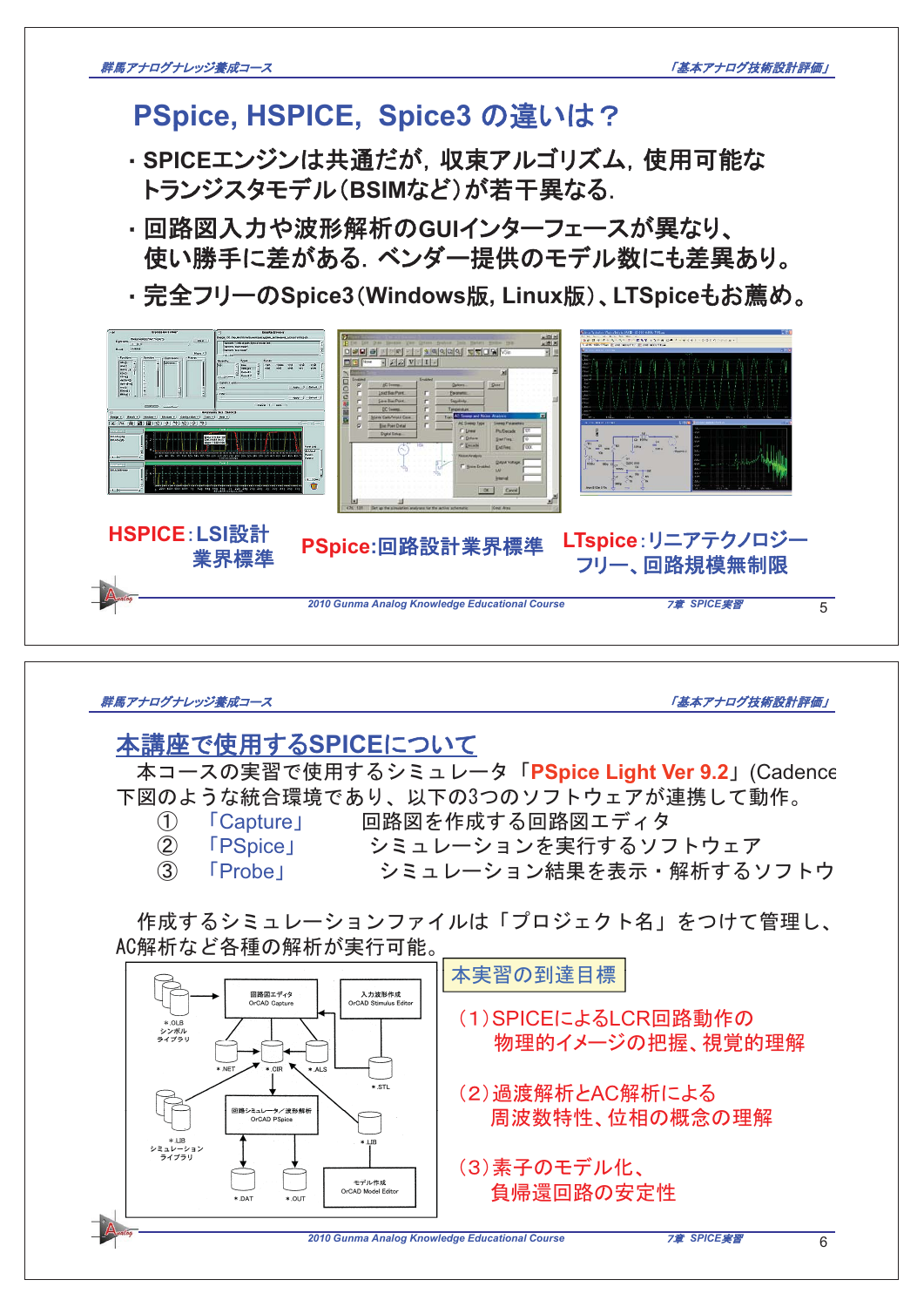## PSpice, HSPICE, Spice3 の違いは?

- · SPICEエンジンは共通だが, 収束アルゴリズム, 使用可能な トランジスタモデル(BSIMなど)が若干異なる.
- ・回路図入力や波形解析のGUIインターフェースが異なり、 └使い勝手に差がある. ベンダー提供のモデル数にも差異あり。<br>・完全フリーのSpice3(Windows版 Lipux版) LTSpiceもお薦め
- **・完全フリーのSpice3(Windows版, Linux版)、LTSpiceもお薦め。**